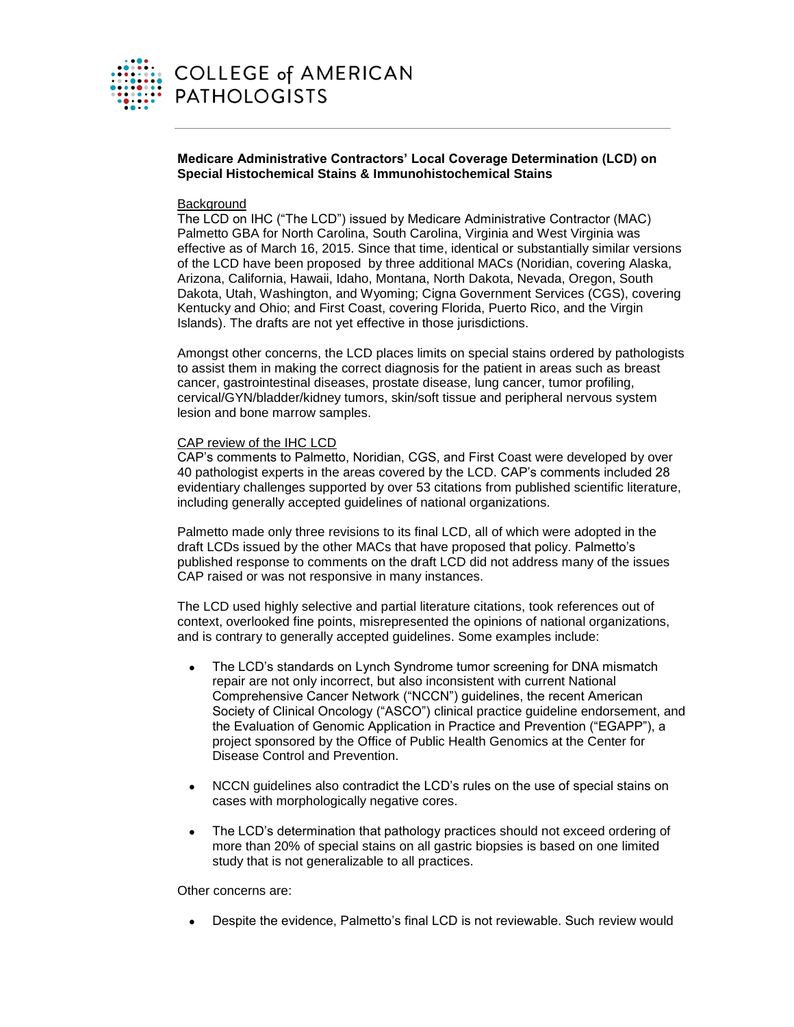

**Medicare Administrative Contractors' Local Coverage Determination (LCD) on Special Histochemical Stains & Immunohistochemical Stains** 

## **Background**

The LCD on IHC ("The LCD") issued by Medicare Administrative Contractor (MAC) Palmetto GBA for North Carolina, South Carolina, Virginia and West Virginia was effective as of March 16, 2015. Since that time, identical or substantially similar versions of the LCD have been proposed by three additional MACs (Noridian, covering Alaska, Arizona, California, Hawaii, Idaho, Montana, North Dakota, Nevada, Oregon, South Dakota, Utah, Washington, and Wyoming; Cigna Government Services (CGS), covering Kentucky and Ohio; and First Coast, covering Florida, Puerto Rico, and the Virgin Islands). The drafts are not yet effective in those jurisdictions.

Amongst other concerns, the LCD places limits on special stains ordered by pathologists to assist them in making the correct diagnosis for the patient in areas such as breast cancer, gastrointestinal diseases, prostate disease, lung cancer, tumor profiling, cervical/GYN/bladder/kidney tumors, skin/soft tissue and peripheral nervous system lesion and bone marrow samples.

## CAP review of the IHC LCD

CAP's comments to Palmetto, Noridian, CGS, and First Coast were developed by over 40 pathologist experts in the areas covered by the LCD. CAP's comments included 28 evidentiary challenges supported by over 53 citations from published scientific literature, including generally accepted guidelines of national organizations.

Palmetto made only three revisions to its final LCD, all of which were adopted in the draft LCDs issued by the other MACs that have proposed that policy. Palmetto's published response to comments on the draft LCD did not address many of the issues CAP raised or was not responsive in many instances.

The LCD used highly selective and partial literature citations, took references out of context, overlooked fine points, misrepresented the opinions of national organizations, and is contrary to generally accepted guidelines. Some examples include:

- The LCD's standards on Lynch Syndrome tumor screening for DNA mismatch repair are not only incorrect, but also inconsistent with current National Comprehensive Cancer Network ("NCCN") guidelines, the recent American Society of Clinical Oncology ("ASCO") clinical practice guideline endorsement, and the Evaluation of Genomic Application in Practice and Prevention ("EGAPP"), a project sponsored by the Office of Public Health Genomics at the Center for Disease Control and Prevention.
- NCCN guidelines also contradict the LCD's rules on the use of special stains on cases with morphologically negative cores.
- The LCD's determination that pathology practices should not exceed ordering of more than 20% of special stains on all gastric biopsies is based on one limited study that is not generalizable to all practices.

Other concerns are:

Despite the evidence, Palmetto's final LCD is not reviewable. Such review would